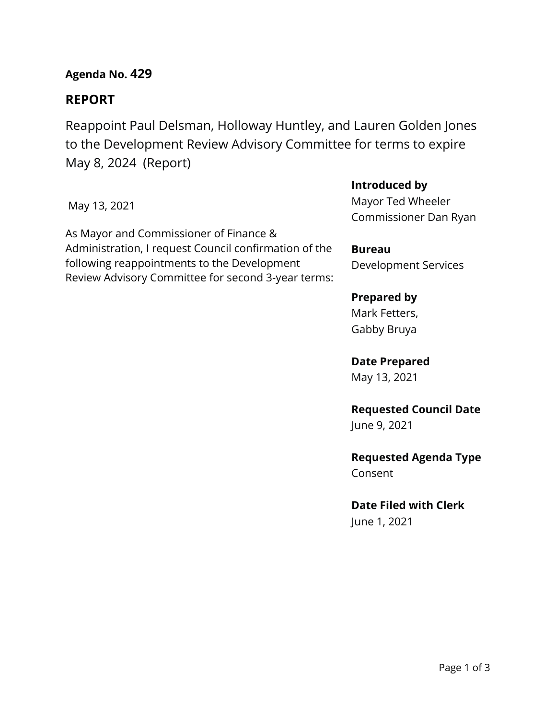**Agenda No. 429**

# **REPORT**

Reappoint Paul Delsman, Holloway Huntley, and Lauren Golden Jones to the Development Review Advisory Committee for terms to expire May 8, 2024 (Report)

May 13, 2021

As Mayor and Commissioner of Finance & Administration, I request Council confirmation of the following reappointments to the Development Review Advisory Committee for second 3-year terms:

## **Introduced by**

Mayor Ted Wheeler Commissioner Dan Ryan

**Bureau** Development Services

# **Prepared by**

Mark Fetters, Gabby Bruya

## **Date Prepared**

May 13, 2021

# **Requested Council Date**

June 9, 2021

## **Requested Agenda Type** Consent

**Date Filed with Clerk**

June 1, 2021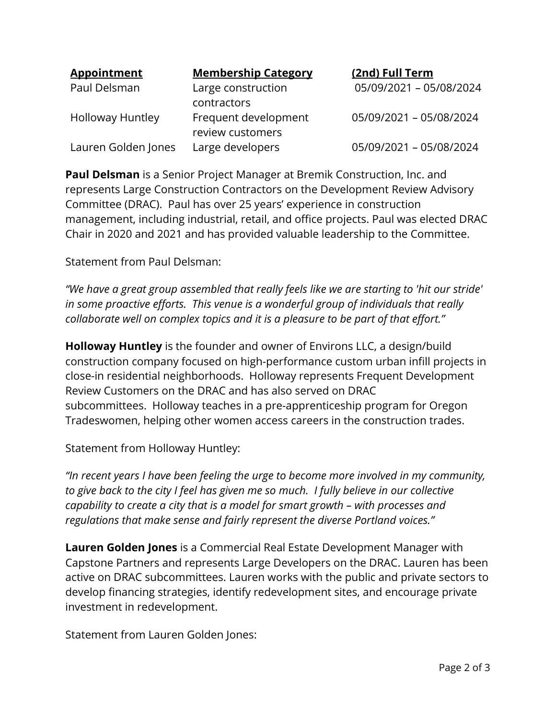| <b>Appointment</b>      | <b>Membership Category</b> | (2nd) Full Term         |
|-------------------------|----------------------------|-------------------------|
| Paul Delsman            | Large construction         | 05/09/2021 - 05/08/2024 |
|                         | contractors                |                         |
| <b>Holloway Huntley</b> | Frequent development       | 05/09/2021 - 05/08/2024 |
|                         | review customers           |                         |
| Lauren Golden Jones     | Large developers           | 05/09/2021 - 05/08/2024 |

**Paul Delsman** is a Senior Project Manager at Bremik Construction, Inc. and represents Large Construction Contractors on the Development Review Advisory Committee (DRAC). Paul has over 25 years' experience in construction management, including industrial, retail, and office projects. Paul was elected DRAC Chair in 2020 and 2021 and has provided valuable leadership to the Committee.

Statement from Paul Delsman:

*"We have a great group assembled that really feels like we are starting to 'hit our stride' in some proactive efforts. This venue is a wonderful group of individuals that really collaborate well on complex topics and it is a pleasure to be part of that effort."*

**Holloway Huntley** is the founder and owner of Environs LLC, a design/build construction company focused on high-performance custom urban infill projects in close-in residential neighborhoods. Holloway represents Frequent Development Review Customers on the DRAC and has also served on DRAC subcommittees. Holloway teaches in a pre-apprenticeship program for Oregon Tradeswomen, helping other women access careers in the construction trades.

Statement from Holloway Huntley:

*"In recent years I have been feeling the urge to become more involved in my community, to give back to the city I feel has given me so much. I fully believe in our collective capability to create a city that is a model for smart growth – with processes and regulations that make sense and fairly represent the diverse Portland voices."*

**Lauren Golden Jones** is a Commercial Real Estate Development Manager with Capstone Partners and represents Large Developers on the DRAC. Lauren has been active on DRAC subcommittees. Lauren works with the public and private sectors to develop financing strategies, identify redevelopment sites, and encourage private investment in redevelopment.

Statement from Lauren Golden Jones: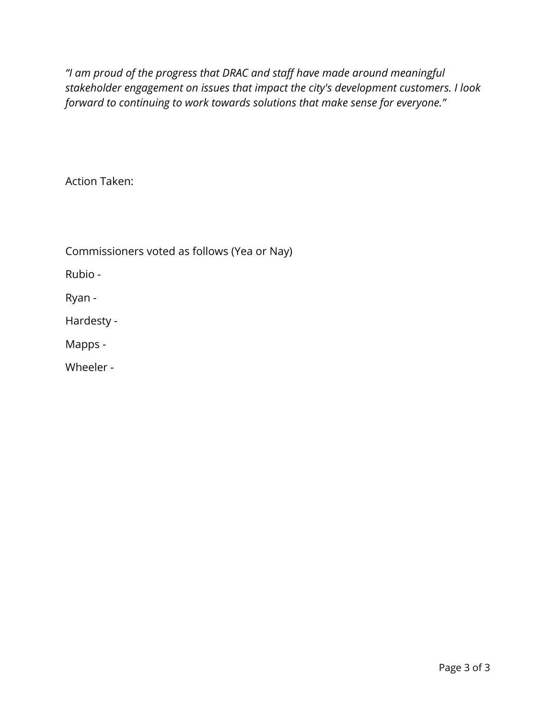*"I am proud of the progress that DRAC and staff have made around meaningful stakeholder engagement on issues that impact the city's development customers. I look forward to continuing to work towards solutions that make sense for everyone."*

Action Taken:

Commissioners voted as follows (Yea or Nay)

Rubio -

Ryan -

Hardesty -

Mapps -

Wheeler -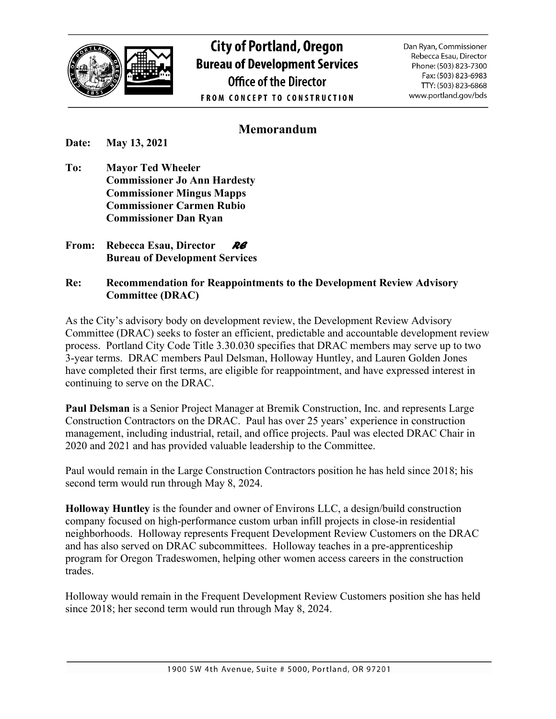

**City of Portland, Oregon Bureau of Development Services Office of the Director FROM CONCEPT TO CONSTRUCTION** 

Dan Ryan, Commissioner Rebecca Esau, Director Phone: (503) 823-7300 Fax: (503) 823-6983 TTY: (503) 823-6868 www.portland.gov/bds

# **Memorandum**

**Date: May 13, 2021**

- **To: Mayor Ted Wheeler Commissioner Jo Ann Hardesty Commissioner Mingus Mapps Commissioner Carmen Rubio Commissioner Dan Ryan**
- **From: Rebecca Esau, Director** *RE*  **Bureau of Development Services**

#### **Re: Recommendation for Reappointments to the Development Review Advisory Committee (DRAC)**

As the City's advisory body on development review, the Development Review Advisory Committee (DRAC) seeks to foster an efficient, predictable and accountable development review process. Portland City Code Title 3.30.030 specifies that DRAC members may serve up to two 3-year terms. DRAC members Paul Delsman, Holloway Huntley, and Lauren Golden Jones have completed their first terms, are eligible for reappointment, and have expressed interest in continuing to serve on the DRAC.

**Paul Delsman** is a Senior Project Manager at Bremik Construction, Inc. and represents Large Construction Contractors on the DRAC. Paul has over 25 years' experience in construction management, including industrial, retail, and office projects. Paul was elected DRAC Chair in 2020 and 2021 and has provided valuable leadership to the Committee.

Paul would remain in the Large Construction Contractors position he has held since 2018; his second term would run through May 8, 2024.

**Holloway Huntley** is the founder and owner of Environs LLC, a design/build construction company focused on high-performance custom urban infill projects in close-in residential neighborhoods. Holloway represents Frequent Development Review Customers on the DRAC and has also served on DRAC subcommittees. Holloway teaches in a pre-apprenticeship program for Oregon Tradeswomen, helping other women access careers in the construction trades.

Holloway would remain in the Frequent Development Review Customers position she has held since 2018; her second term would run through May 8, 2024.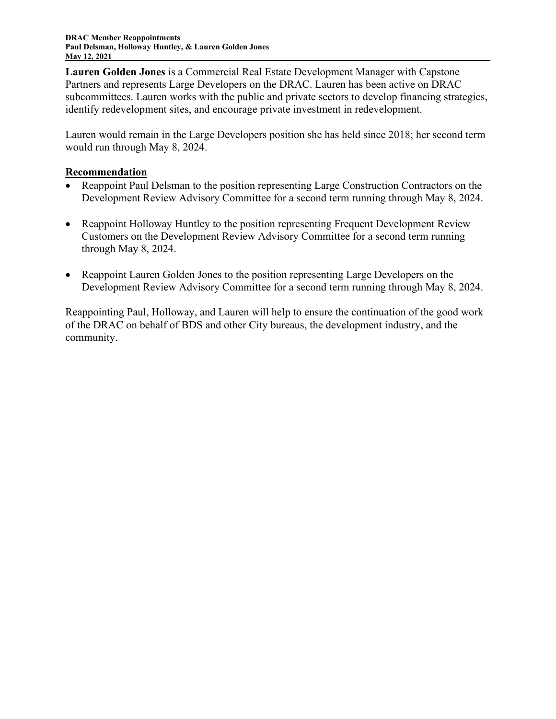**Lauren Golden Jones** is a Commercial Real Estate Development Manager with Capstone Partners and represents Large Developers on the DRAC. Lauren has been active on DRAC subcommittees. Lauren works with the public and private sectors to develop financing strategies, identify redevelopment sites, and encourage private investment in redevelopment.

Lauren would remain in the Large Developers position she has held since 2018; her second term would run through May 8, 2024.

#### **Recommendation**

- Reappoint Paul Delsman to the position representing Large Construction Contractors on the Development Review Advisory Committee for a second term running through May 8, 2024.
- Reappoint Holloway Huntley to the position representing Frequent Development Review Customers on the Development Review Advisory Committee for a second term running through May 8, 2024.
- Reappoint Lauren Golden Jones to the position representing Large Developers on the Development Review Advisory Committee for a second term running through May 8, 2024.

Reappointing Paul, Holloway, and Lauren will help to ensure the continuation of the good work of the DRAC on behalf of BDS and other City bureaus, the development industry, and the community.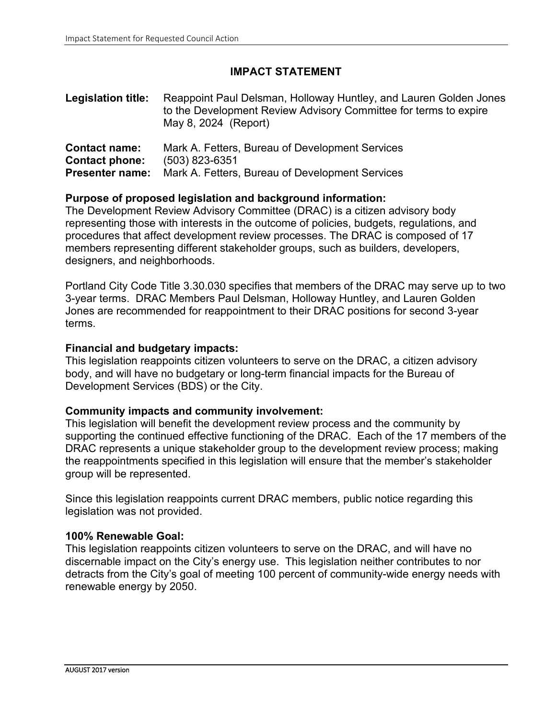## **IMPACT STATEMENT**

| <b>Legislation title:</b> | Reappoint Paul Delsman, Holloway Huntley, and Lauren Golden Jones<br>to the Development Review Advisory Committee for terms to expire<br>May 8, 2024 (Report) |  |  |
|---------------------------|---------------------------------------------------------------------------------------------------------------------------------------------------------------|--|--|
| <b>Contact name:</b>      | Mark A. Fetters, Bureau of Development Services                                                                                                               |  |  |
| Contact phone:            | $(503)$ 823-6351                                                                                                                                              |  |  |
| <b>Presenter name:</b>    | Mark A. Fetters, Bureau of Development Services                                                                                                               |  |  |

#### **Purpose of proposed legislation and background information:**

The Development Review Advisory Committee (DRAC) is a citizen advisory body representing those with interests in the outcome of policies, budgets, regulations, and procedures that affect development review processes. The DRAC is composed of 17 members representing different stakeholder groups, such as builders, developers, designers, and neighborhoods.

Portland City Code Title 3.30.030 specifies that members of the DRAC may serve up to two 3-year terms. DRAC Members Paul Delsman, Holloway Huntley, and Lauren Golden Jones are recommended for reappointment to their DRAC positions for second 3-year terms.

#### **Financial and budgetary impacts:**

This legislation reappoints citizen volunteers to serve on the DRAC, a citizen advisory body, and will have no budgetary or long-term financial impacts for the Bureau of Development Services (BDS) or the City.

#### **Community impacts and community involvement:**

This legislation will benefit the development review process and the community by supporting the continued effective functioning of the DRAC. Each of the 17 members of the DRAC represents a unique stakeholder group to the development review process; making the reappointments specified in this legislation will ensure that the member's stakeholder group will be represented.

Since this legislation reappoints current DRAC members, public notice regarding this legislation was not provided.

#### **100% Renewable Goal:**

This legislation reappoints citizen volunteers to serve on the DRAC, and will have no discernable impact on the City's energy use. This legislation neither contributes to nor detracts from the City's goal of meeting 100 percent of community-wide energy needs with renewable energy by 2050.